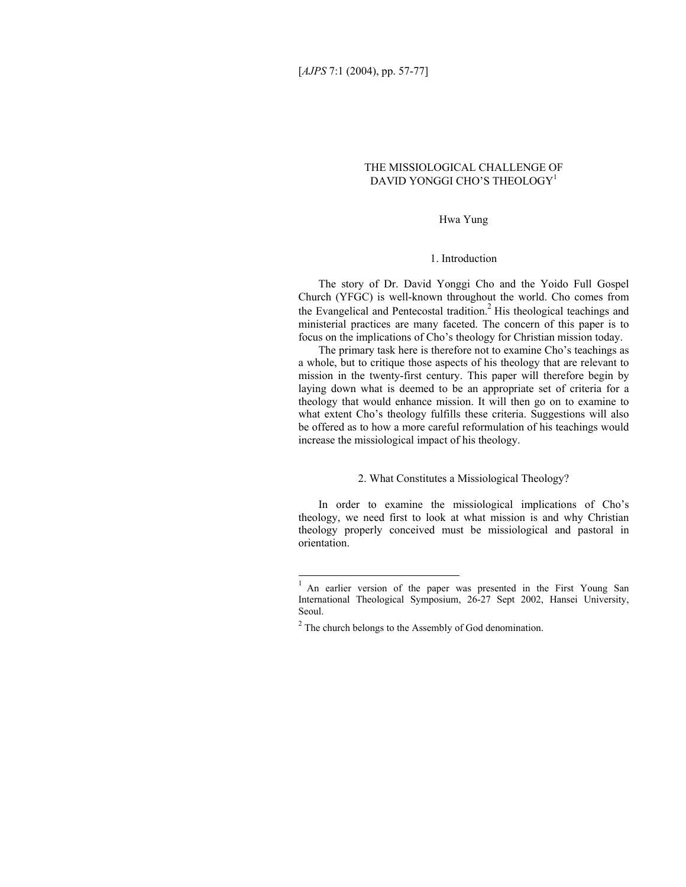# THE MISSIOLOGICAL CHALLENGE OF DAVID YONGGI CHO'S THEOLOGY<sup>[1](#page-0-0)</sup>

Hwa Yung

## 1. Introduction

The story of Dr. David Yonggi Cho and the Yoido Full Gospel Church (YFGC) is well-known throughout the world. Cho comes from the Evangelical and Pentecostal tradition.<sup>2</sup> His theological teachings and ministerial practices are many faceted. The concern of this paper is to focus on the implications of Cho's theology for Christian mission today.

The primary task here is therefore not to examine Cho's teachings as a whole, but to critique those aspects of his theology that are relevant to mission in the twenty-first century. This paper will therefore begin by laying down what is deemed to be an appropriate set of criteria for a theology that would enhance mission. It will then go on to examine to what extent Cho's theology fulfills these criteria. Suggestions will also be offered as to how a more careful reformulation of his teachings would increase the missiological impact of his theology.

#### 2. What Constitutes a Missiological Theology?

In order to examine the missiological implications of Cho's theology, we need first to look at what mission is and why Christian theology properly conceived must be missiological and pastoral in orientation.

<span id="page-0-0"></span> $\,1$ An earlier version of the paper was presented in the First Young San International Theological Symposium, 26-27 Sept 2002, Hansei University, Seoul.

<span id="page-0-1"></span> $2^2$  The church belongs to the Assembly of God denomination.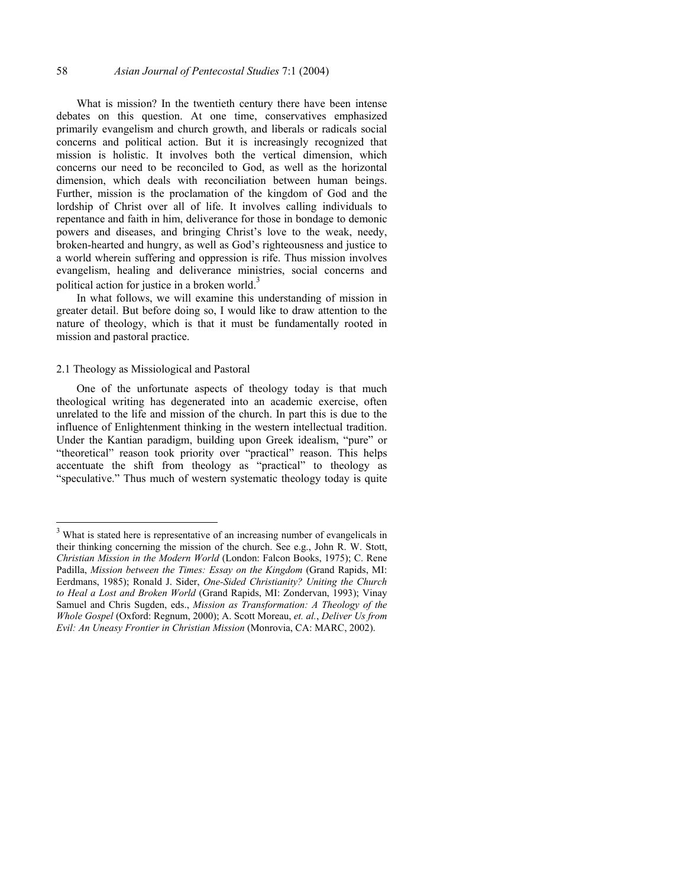What is mission? In the twentieth century there have been intense debates on this question. At one time, conservatives emphasized primarily evangelism and church growth, and liberals or radicals social concerns and political action. But it is increasingly recognized that mission is holistic. It involves both the vertical dimension, which concerns our need to be reconciled to God, as well as the horizontal dimension, which deals with reconciliation between human beings. Further, mission is the proclamation of the kingdom of God and the lordship of Christ over all of life. It involves calling individuals to repentance and faith in him, deliverance for those in bondage to demonic powers and diseases, and bringing Christ's love to the weak, needy, broken-hearted and hungry, as well as God's righteousness and justice to a world wherein suffering and oppression is rife. Thus mission involves evangelism, healing and deliverance ministries, social concerns and political action for justice in a broken world.<sup>[3](#page-1-0)</sup>

In what follows, we will examine this understanding of mission in greater detail. But before doing so, I would like to draw attention to the nature of theology, which is that it must be fundamentally rooted in mission and pastoral practice.

#### 2.1 Theology as Missiological and Pastoral

l

One of the unfortunate aspects of theology today is that much theological writing has degenerated into an academic exercise, often unrelated to the life and mission of the church. In part this is due to the influence of Enlightenment thinking in the western intellectual tradition. Under the Kantian paradigm, building upon Greek idealism, "pure" or "theoretical" reason took priority over "practical" reason. This helps accentuate the shift from theology as "practical" to theology as "speculative." Thus much of western systematic theology today is quite

<span id="page-1-0"></span><sup>&</sup>lt;sup>3</sup> What is stated here is representative of an increasing number of evangelicals in their thinking concerning the mission of the church. See e.g., John R. W. Stott, *Christian Mission in the Modern World* (London: Falcon Books, 1975); C. Rene Padilla, *Mission between the Times: Essay on the Kingdom* (Grand Rapids, MI: Eerdmans, 1985); Ronald J. Sider, *One-Sided Christianity? Uniting the Church to Heal a Lost and Broken World* (Grand Rapids, MI: Zondervan, 1993); Vinay Samuel and Chris Sugden, eds., *Mission as Transformation: A Theology of the Whole Gospel* (Oxford: Regnum, 2000); A. Scott Moreau, *et. al.*, *Deliver Us from Evil: An Uneasy Frontier in Christian Mission* (Monrovia, CA: MARC, 2002).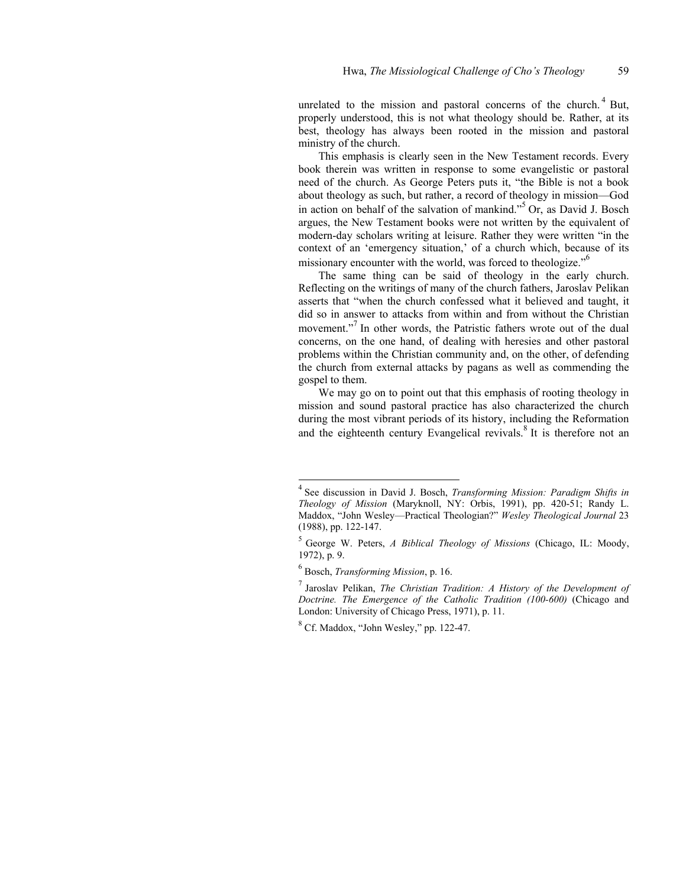unrelated to the mission and pastoral concerns of the church.<sup>[4](#page-2-0)</sup> But, properly understood, this is not what theology should be. Rather, at its best, theology has always been rooted in the mission and pastoral ministry of the church.

This emphasis is clearly seen in the New Testament records. Every book therein was written in response to some evangelistic or pastoral need of the church. As George Peters puts it, "the Bible is not a book about theology as such, but rather, a record of theology in mission—God in action on behalf of the salvation of mankind."[5](#page-2-1) Or, as David J. Bosch argues, the New Testament books were not written by the equivalent of modern-day scholars writing at leisure. Rather they were written "in the context of an 'emergency situation,' of a church which, because of its missionary encounter with the world, was forced to theologize."<sup>[6](#page-2-2)</sup>

The same thing can be said of theology in the early church. Reflecting on the writings of many of the church fathers, Jaroslav Pelikan asserts that "when the church confessed what it believed and taught, it did so in answer to attacks from within and from without the Christian movement."<sup>[7](#page-2-3)</sup> In other words, the Patristic fathers wrote out of the dual concerns, on the one hand, of dealing with heresies and other pastoral problems within the Christian community and, on the other, of defending the church from external attacks by pagans as well as commending the gospel to them.

We may go on to point out that this emphasis of rooting theology in mission and sound pastoral practice has also characterized the church during the most vibrant periods of its history, including the Reformation and the eighteenth century Evangelical revivals.<sup>[8](#page-2-4)</sup> It is therefore not an

<span id="page-2-0"></span><sup>4</sup> See discussion in David J. Bosch, *Transforming Mission: Paradigm Shifts in Theology of Mission* (Maryknoll, NY: Orbis, 1991), pp. 420-51; Randy L. Maddox, "John Wesley—Practical Theologian?" *Wesley Theological Journal* 23 (1988), pp. 122-147.

<span id="page-2-1"></span><sup>5</sup> George W. Peters, *A Biblical Theology of Missions* (Chicago, IL: Moody, 1972), p. 9.

<span id="page-2-2"></span><sup>6</sup> Bosch, *Transforming Mission*, p. 16.

<span id="page-2-3"></span><sup>7</sup> Jaroslav Pelikan, *The Christian Tradition: A History of the Development of Doctrine. The Emergence of the Catholic Tradition (100-600)* (Chicago and London: University of Chicago Press, 1971), p. 11.

<span id="page-2-4"></span> $8^8$  Cf. Maddox, "John Wesley," pp. 122-47.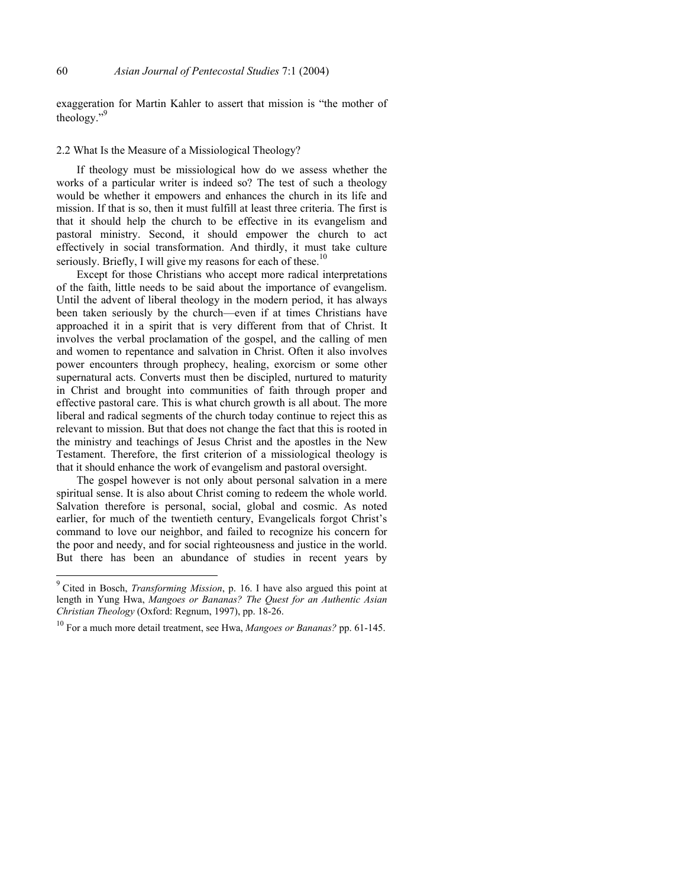exaggeration for Martin Kahler to assert that mission is "the mother of theology.["9](#page-3-0)

## 2.2 What Is the Measure of a Missiological Theology?

If theology must be missiological how do we assess whether the works of a particular writer is indeed so? The test of such a theology would be whether it empowers and enhances the church in its life and mission. If that is so, then it must fulfill at least three criteria. The first is that it should help the church to be effective in its evangelism and pastoral ministry. Second, it should empower the church to act effectively in social transformation. And thirdly, it must take culture seriously. Briefly, I will give my reasons for each of these.<sup>1</sup>

Except for those Christians who accept more radical interpretations of the faith, little needs to be said about the importance of evangelism. Until the advent of liberal theology in the modern period, it has always been taken seriously by the church—even if at times Christians have approached it in a spirit that is very different from that of Christ. It involves the verbal proclamation of the gospel, and the calling of men and women to repentance and salvation in Christ. Often it also involves power encounters through prophecy, healing, exorcism or some other supernatural acts. Converts must then be discipled, nurtured to maturity in Christ and brought into communities of faith through proper and effective pastoral care. This is what church growth is all about. The more liberal and radical segments of the church today continue to reject this as relevant to mission. But that does not change the fact that this is rooted in the ministry and teachings of Jesus Christ and the apostles in the New Testament. Therefore, the first criterion of a missiological theology is that it should enhance the work of evangelism and pastoral oversight.

The gospel however is not only about personal salvation in a mere spiritual sense. It is also about Christ coming to redeem the whole world. Salvation therefore is personal, social, global and cosmic. As noted earlier, for much of the twentieth century, Evangelicals forgot Christ's command to love our neighbor, and failed to recognize his concern for the poor and needy, and for social righteousness and justice in the world. But there has been an abundance of studies in recent years by

<span id="page-3-0"></span> 9 Cited in Bosch, *Transforming Mission*, p. 16. I have also argued this point at length in Yung Hwa, *Mangoes or Bananas? The Quest for an Authentic Asian Christian Theology* (Oxford: Regnum, 1997), pp. 18-26.

<span id="page-3-1"></span><sup>10</sup> For a much more detail treatment, see Hwa, *Mangoes or Bananas?* pp. 61-145.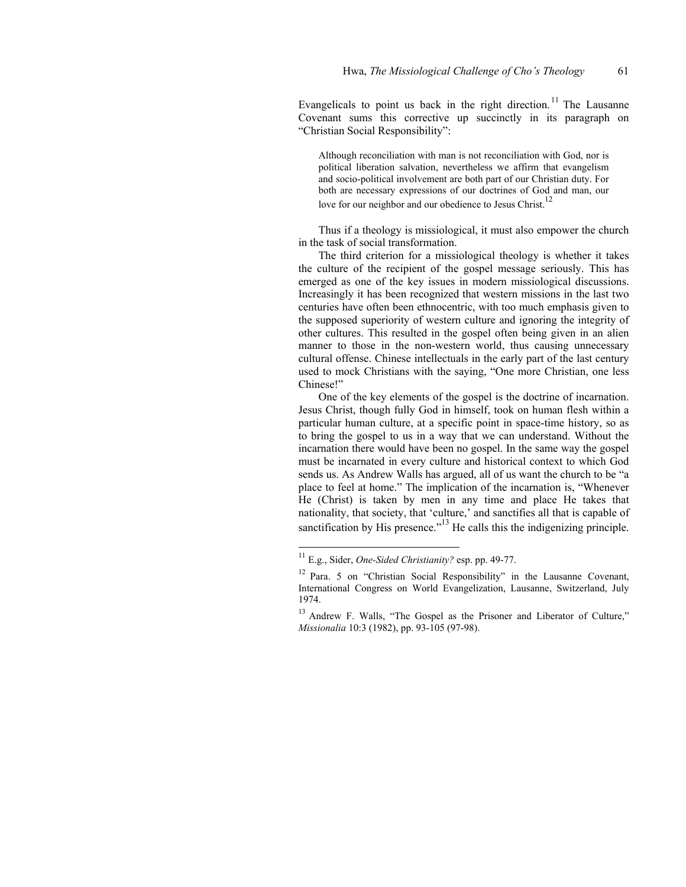Evangelicals to point us back in the right direction.<sup>11</sup> The Lausanne Covenant sums this corrective up succinctly in its paragraph on "Christian Social Responsibility":

Although reconciliation with man is not reconciliation with God, nor is political liberation salvation, nevertheless we affirm that evangelism and socio-political involvement are both part of our Christian duty. For both are necessary expressions of our doctrines of God and man, our love for our neighbor and our obedience to Jesus Christ.<sup>1</sup>

Thus if a theology is missiological, it must also empower the church in the task of social transformation.

The third criterion for a missiological theology is whether it takes the culture of the recipient of the gospel message seriously. This has emerged as one of the key issues in modern missiological discussions. Increasingly it has been recognized that western missions in the last two centuries have often been ethnocentric, with too much emphasis given to the supposed superiority of western culture and ignoring the integrity of other cultures. This resulted in the gospel often being given in an alien manner to those in the non-western world, thus causing unnecessary cultural offense. Chinese intellectuals in the early part of the last century used to mock Christians with the saying, "One more Christian, one less Chinese!"

One of the key elements of the gospel is the doctrine of incarnation. Jesus Christ, though fully God in himself, took on human flesh within a particular human culture, at a specific point in space-time history, so as to bring the gospel to us in a way that we can understand. Without the incarnation there would have been no gospel. In the same way the gospel must be incarnated in every culture and historical context to which God sends us. As Andrew Walls has argued, all of us want the church to be "a place to feel at home." The implication of the incarnation is, "Whenever He (Christ) is taken by men in any time and place He takes that nationality, that society, that 'culture,' and sanctifies all that is capable of sanctification by His presence.<sup> $13$ </sup> He calls this the indigenizing principle.

<span id="page-4-0"></span><sup>11</sup> E.g., Sider, *One-Sided Christianity?* esp. pp. 49-77.

<span id="page-4-1"></span><sup>&</sup>lt;sup>12</sup> Para. 5 on "Christian Social Responsibility" in the Lausanne Covenant, International Congress on World Evangelization, Lausanne, Switzerland, July 1974.

<span id="page-4-2"></span><sup>&</sup>lt;sup>13</sup> Andrew F. Walls, "The Gospel as the Prisoner and Liberator of Culture," *Missionalia* 10:3 (1982), pp. 93-105 (97-98).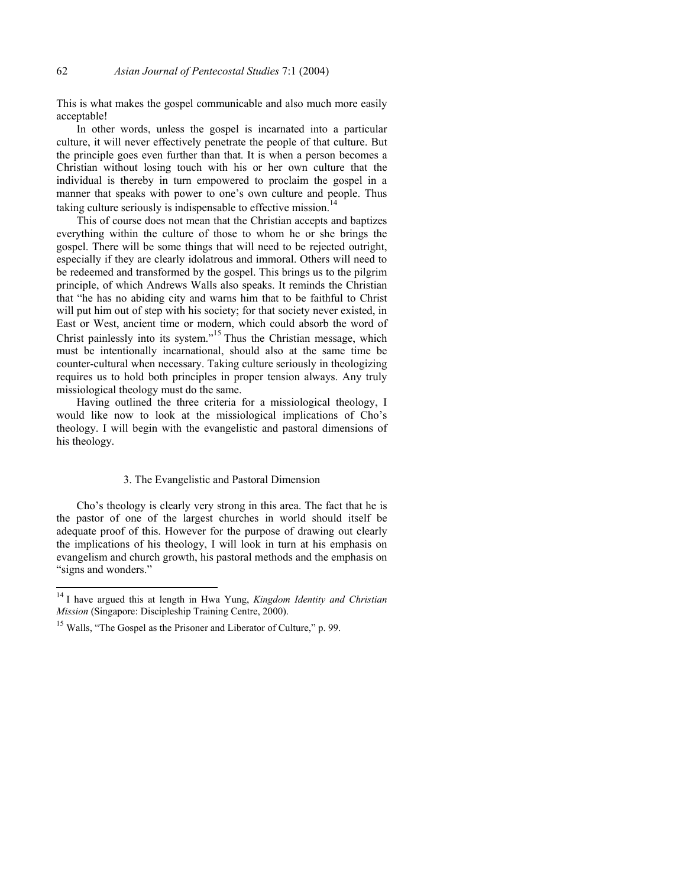This is what makes the gospel communicable and also much more easily acceptable!

In other words, unless the gospel is incarnated into a particular culture, it will never effectively penetrate the people of that culture. But the principle goes even further than that. It is when a person becomes a Christian without losing touch with his or her own culture that the individual is thereby in turn empowered to proclaim the gospel in a manner that speaks with power to one's own culture and people. Thus taking culture seriously is indispensable to effective mission.<sup>1</sup>

This of course does not mean that the Christian accepts and baptizes everything within the culture of those to whom he or she brings the gospel. There will be some things that will need to be rejected outright, especially if they are clearly idolatrous and immoral. Others will need to be redeemed and transformed by the gospel. This brings us to the pilgrim principle, of which Andrews Walls also speaks. It reminds the Christian that "he has no abiding city and warns him that to be faithful to Christ will put him out of step with his society; for that society never existed, in East or West, ancient time or modern, which could absorb the word of Christ painlessly into its system."<sup>15</sup> Thus the Christian message, which must be intentionally incarnational, should also at the same time be counter-cultural when necessary. Taking culture seriously in theologizing requires us to hold both principles in proper tension always. Any truly missiological theology must do the same.

Having outlined the three criteria for a missiological theology, I would like now to look at the missiological implications of Cho's theology. I will begin with the evangelistic and pastoral dimensions of his theology.

#### 3. The Evangelistic and Pastoral Dimension

Cho's theology is clearly very strong in this area. The fact that he is the pastor of one of the largest churches in world should itself be adequate proof of this. However for the purpose of drawing out clearly the implications of his theology, I will look in turn at his emphasis on evangelism and church growth, his pastoral methods and the emphasis on "signs and wonders."

<span id="page-5-0"></span><sup>14</sup> I have argued this at length in Hwa Yung, *Kingdom Identity and Christian Mission* (Singapore: Discipleship Training Centre, 2000).

<span id="page-5-1"></span><sup>&</sup>lt;sup>15</sup> Walls, "The Gospel as the Prisoner and Liberator of Culture," p. 99.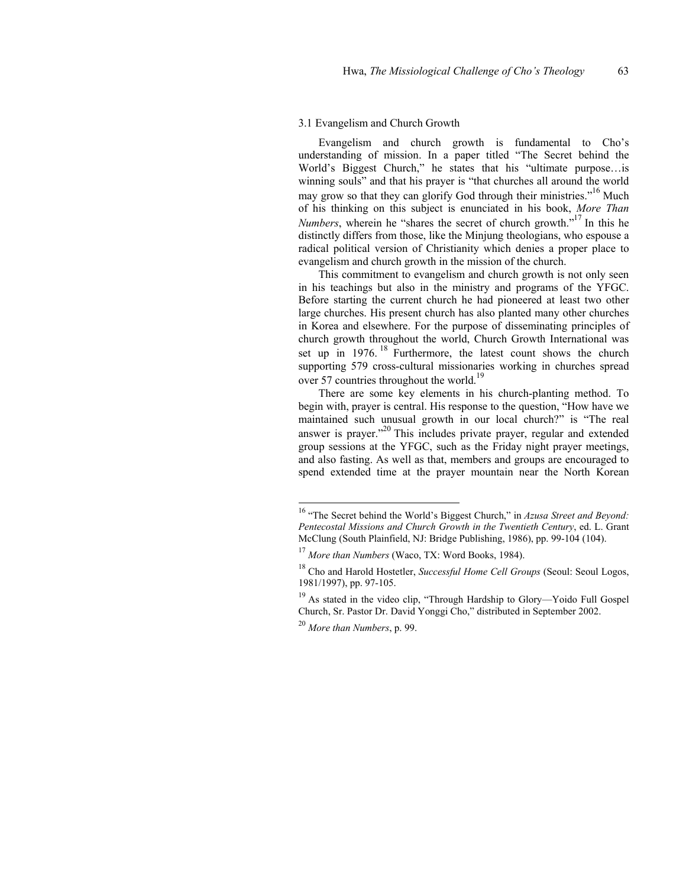### 3.1 Evangelism and Church Growth

Evangelism and church growth is fundamental to Cho's understanding of mission. In a paper titled "The Secret behind the World's Biggest Church," he states that his "ultimate purpose…is winning souls" and that his prayer is "that churches all around the world may grow so that they can glorify God through their ministries."<sup>16</sup> Much of his thinking on this subject is enunciated in his book, *More Than Numbers*, wherein he "shares the secret of church growth."<sup>17</sup> In this he distinctly differs from those, like the Minjung theologians, who espouse a radical political version of Christianity which denies a proper place to evangelism and church growth in the mission of the church.

This commitment to evangelism and church growth is not only seen in his teachings but also in the ministry and programs of the YFGC. Before starting the current church he had pioneered at least two other large churches. His present church has also planted many other churches in Korea and elsewhere. For the purpose of disseminating principles of church growth throughout the world, Church Growth International was set up in 1976.<sup>18</sup> Furthermore, the latest count shows the church supporting 579 cross-cultural missionaries working in churches spread over 57 countries throughout the world.<sup>19</sup>

There are some key elements in his church-planting method. To begin with, prayer is central. His response to the question, "How have we maintained such unusual growth in our local church?" is "The real answer is prayer."<sup>20</sup> This includes private prayer, regular and extended group sessions at the YFGC, such as the Friday night prayer meetings, and also fasting. As well as that, members and groups are encouraged to spend extended time at the prayer mountain near the North Korean

<span id="page-6-0"></span><sup>&</sup>lt;sup>16</sup> "The Secret behind the World's Biggest Church," in *Azusa Street and Beyond*: *Pentecostal Missions and Church Growth in the Twentieth Century*, ed. L. Grant McClung (South Plainfield, NJ: Bridge Publishing, 1986), pp. 99-104 (104).

<span id="page-6-1"></span><sup>17</sup> *More than Numbers* (Waco, TX: Word Books, 1984).

<span id="page-6-2"></span><sup>18</sup> Cho and Harold Hostetler, *Successful Home Cell Groups* (Seoul: Seoul Logos, 1981/1997), pp. 97-105.

<span id="page-6-3"></span><sup>&</sup>lt;sup>19</sup> As stated in the video clip, "Through Hardship to Glory—Yoido Full Gospel Church, Sr. Pastor Dr. David Yonggi Cho," distributed in September 2002.

<span id="page-6-4"></span><sup>20</sup> *More than Numbers*, p. 99.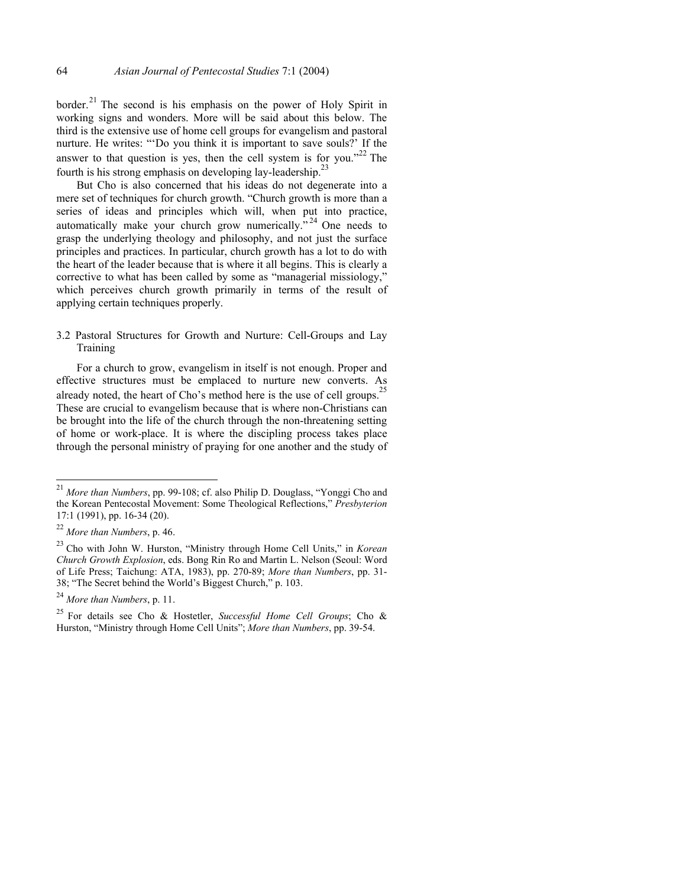border.<sup>21</sup> The second is his emphasis on the power of Holy Spirit in working signs and wonders. More will be said about this below. The third is the extensive use of home cell groups for evangelism and pastoral nurture. He writes: "'Do you think it is important to save souls?' If the answer to that question is yes, then the cell system is for you."<sup>22</sup> The fourth is his strong emphasis on developing lay-leadership.[23](#page-7-2)

But Cho is also concerned that his ideas do not degenerate into a mere set of techniques for church growth. "Church growth is more than a series of ideas and principles which will, when put into practice, automatically make your church grow numerically."<sup>24</sup> One needs to grasp the underlying theology and philosophy, and not just the surface principles and practices. In particular, church growth has a lot to do with the heart of the leader because that is where it all begins. This is clearly a corrective to what has been called by some as "managerial missiology," which perceives church growth primarily in terms of the result of applying certain techniques properly.

3.2 Pastoral Structures for Growth and Nurture: Cell-Groups and Lay Training

For a church to grow, evangelism in itself is not enough. Proper and effective structures must be emplaced to nurture new converts. As already noted, the heart of Cho's method here is the use of cell groups.<sup>2</sup> These are crucial to evangelism because that is where non-Christians can be brought into the life of the church through the non-threatening setting of home or work-place. It is where the discipling process takes place through the personal ministry of praying for one another and the study of

<span id="page-7-0"></span><sup>21</sup> *More than Numbers*, pp. 99-108; cf. also Philip D. Douglass, "Yonggi Cho and the Korean Pentecostal Movement: Some Theological Reflections," *Presbyterion* 17:1 (1991), pp. 16-34 (20).

<span id="page-7-1"></span><sup>22</sup> *More than Numbers*, p. 46.

<span id="page-7-2"></span><sup>23</sup> Cho with John W. Hurston, "Ministry through Home Cell Units," in *Korean Church Growth Explosion*, eds. Bong Rin Ro and Martin L. Nelson (Seoul: Word of Life Press; Taichung: ATA, 1983), pp. 270-89; *More than Numbers*, pp. 31- 38; "The Secret behind the World's Biggest Church," p. 103.

<span id="page-7-3"></span><sup>24</sup> *More than Numbers*, p. 11.

<span id="page-7-4"></span><sup>25</sup> For details see Cho & Hostetler, *Successful Home Cell Groups*; Cho & Hurston, "Ministry through Home Cell Units"; *More than Numbers*, pp. 39-54.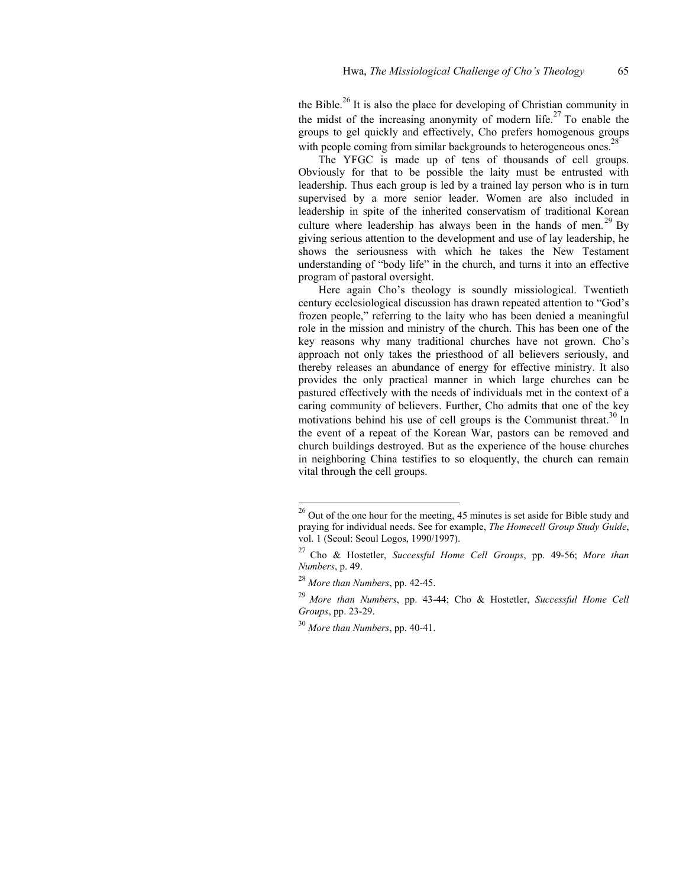the Bible.<sup>26</sup> It is also the place for developing of Christian community in the midst of the increasing anonymity of modern life.<sup>27</sup> To enable the groups to gel quickly and effectively, Cho prefers homogenous groups with people coming from similar backgrounds to heterogeneous ones.<sup>28</sup>

The YFGC is made up of tens of thousands of cell groups. Obviously for that to be possible the laity must be entrusted with leadership. Thus each group is led by a trained lay person who is in turn supervised by a more senior leader. Women are also included in leadership in spite of the inherited conservatism of traditional Korean culture where leadership has always been in the hands of men.<sup>29</sup> By giving serious attention to the development and use of lay leadership, he shows the seriousness with which he takes the New Testament understanding of "body life" in the church, and turns it into an effective program of pastoral oversight.

Here again Cho's theology is soundly missiological. Twentieth century ecclesiological discussion has drawn repeated attention to "God's frozen people," referring to the laity who has been denied a meaningful role in the mission and ministry of the church. This has been one of the key reasons why many traditional churches have not grown. Cho's approach not only takes the priesthood of all believers seriously, and thereby releases an abundance of energy for effective ministry. It also provides the only practical manner in which large churches can be pastured effectively with the needs of individuals met in the context of a caring community of believers. Further, Cho admits that one of the key motivations behind his use of cell groups is the Communist threat.<sup>30</sup> In the event of a repeat of the Korean War, pastors can be removed and church buildings destroyed. But as the experience of the house churches in neighboring China testifies to so eloquently, the church can remain vital through the cell groups.

<span id="page-8-0"></span><sup>&</sup>lt;sup>26</sup> Out of the one hour for the meeting, 45 minutes is set aside for Bible study and praying for individual needs. See for example, *The Homecell Group Study Guide*, vol. 1 (Seoul: Seoul Logos, 1990/1997).

<span id="page-8-1"></span><sup>27</sup> Cho & Hostetler, *Successful Home Cell Groups*, pp. 49-56; *More than Numbers*, p. 49.

<span id="page-8-2"></span><sup>28</sup> *More than Numbers*, pp. 42-45.

<span id="page-8-3"></span><sup>29</sup> *More than Numbers*, pp. 43-44; Cho & Hostetler, *Successful Home Cell Groups*, pp. 23-29.

<span id="page-8-4"></span><sup>30</sup> *More than Numbers*, pp. 40-41.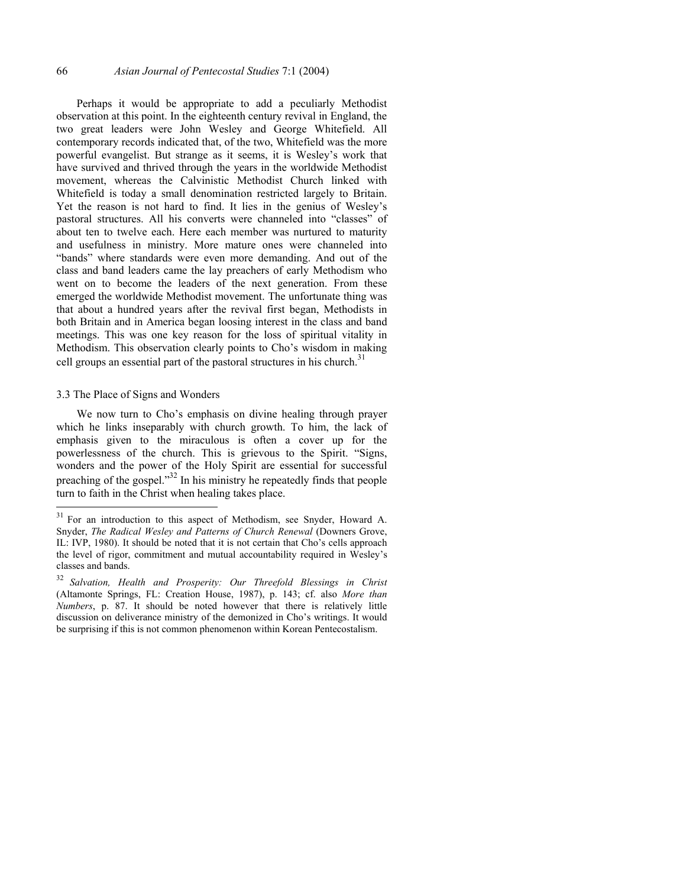Perhaps it would be appropriate to add a peculiarly Methodist observation at this point. In the eighteenth century revival in England, the two great leaders were John Wesley and George Whitefield. All contemporary records indicated that, of the two, Whitefield was the more powerful evangelist. But strange as it seems, it is Wesley's work that have survived and thrived through the years in the worldwide Methodist movement, whereas the Calvinistic Methodist Church linked with Whitefield is today a small denomination restricted largely to Britain. Yet the reason is not hard to find. It lies in the genius of Wesley's pastoral structures. All his converts were channeled into "classes" of about ten to twelve each. Here each member was nurtured to maturity and usefulness in ministry. More mature ones were channeled into "bands" where standards were even more demanding. And out of the class and band leaders came the lay preachers of early Methodism who went on to become the leaders of the next generation. From these emerged the worldwide Methodist movement. The unfortunate thing was that about a hundred years after the revival first began, Methodists in both Britain and in America began loosing interest in the class and band meetings. This was one key reason for the loss of spiritual vitality in Methodism. This observation clearly points to Cho's wisdom in making cell groups an essential part of the pastoral structures in his church.<sup>[31](#page-9-0)</sup>

## 3.3 The Place of Signs and Wonders

We now turn to Cho's emphasis on divine healing through prayer which he links inseparably with church growth. To him, the lack of emphasis given to the miraculous is often a cover up for the powerlessness of the church. This is grievous to the Spirit. "Signs, wonders and the power of the Holy Spirit are essential for successful preaching of the gospel."[32 I](#page-9-1)n his ministry he repeatedly finds that people turn to faith in the Christ when healing takes place.

<span id="page-9-0"></span> $31\,$ 31 For an introduction to this aspect of Methodism, see Snyder, Howard A. Snyder, *The Radical Wesley and Patterns of Church Renewal* (Downers Grove, IL: IVP, 1980). It should be noted that it is not certain that Cho's cells approach the level of rigor, commitment and mutual accountability required in Wesley's classes and bands.

<span id="page-9-1"></span><sup>32</sup> *Salvation, Health and Prosperity: Our Threefold Blessings in Christ*  (Altamonte Springs, FL: Creation House, 1987), p. 143; cf. also *More than Numbers*, p. 87. It should be noted however that there is relatively little discussion on deliverance ministry of the demonized in Cho's writings. It would be surprising if this is not common phenomenon within Korean Pentecostalism.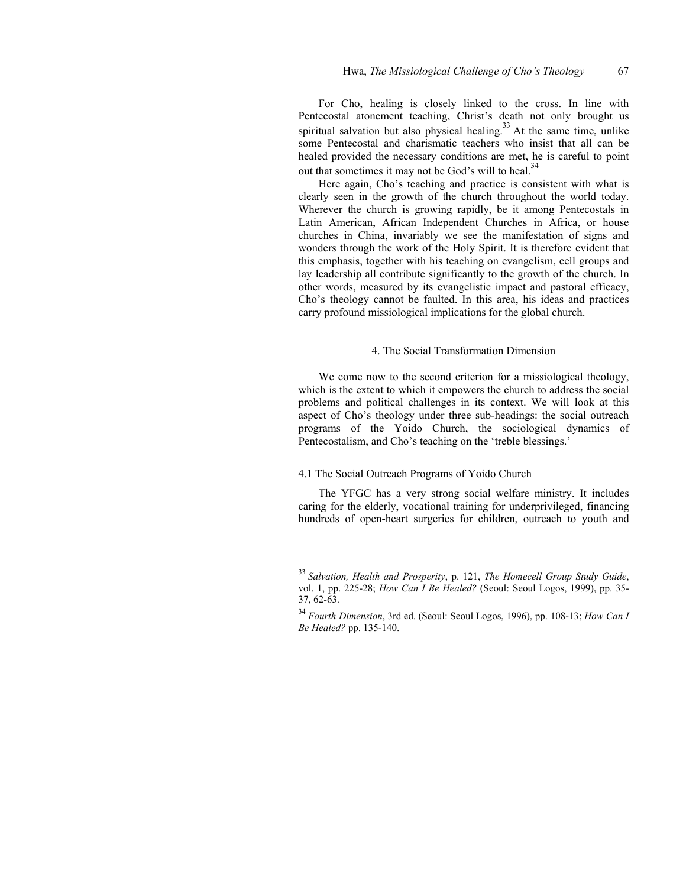For Cho, healing is closely linked to the cross. In line with Pentecostal atonement teaching, Christ's death not only brought us spiritual salvation but also physical healing. $33$  At the same time, unlike some Pentecostal and charismatic teachers who insist that all can be healed provided the necessary conditions are met, he is careful to point out that sometimes it may not be God's will to heal.<sup>34</sup>

Here again, Cho's teaching and practice is consistent with what is clearly seen in the growth of the church throughout the world today. Wherever the church is growing rapidly, be it among Pentecostals in Latin American, African Independent Churches in Africa, or house churches in China, invariably we see the manifestation of signs and wonders through the work of the Holy Spirit. It is therefore evident that this emphasis, together with his teaching on evangelism, cell groups and lay leadership all contribute significantly to the growth of the church. In other words, measured by its evangelistic impact and pastoral efficacy, Cho's theology cannot be faulted. In this area, his ideas and practices carry profound missiological implications for the global church.

## 4. The Social Transformation Dimension

We come now to the second criterion for a missiological theology, which is the extent to which it empowers the church to address the social problems and political challenges in its context. We will look at this aspect of Cho's theology under three sub-headings: the social outreach programs of the Yoido Church, the sociological dynamics of Pentecostalism, and Cho's teaching on the 'treble blessings.'

## 4.1 The Social Outreach Programs of Yoido Church

l

The YFGC has a very strong social welfare ministry. It includes caring for the elderly, vocational training for underprivileged, financing hundreds of open-heart surgeries for children, outreach to youth and

<span id="page-10-0"></span><sup>33</sup> *Salvation, Health and Prosperity*, p. 121, *The Homecell Group Study Guide*, vol. 1, pp. 225-28; *How Can I Be Healed?* (Seoul: Seoul Logos, 1999), pp. 35- 37, 62-63.

<span id="page-10-1"></span><sup>34</sup> *Fourth Dimension*, 3rd ed. (Seoul: Seoul Logos, 1996), pp. 108-13; *How Can I Be Healed?* pp. 135-140.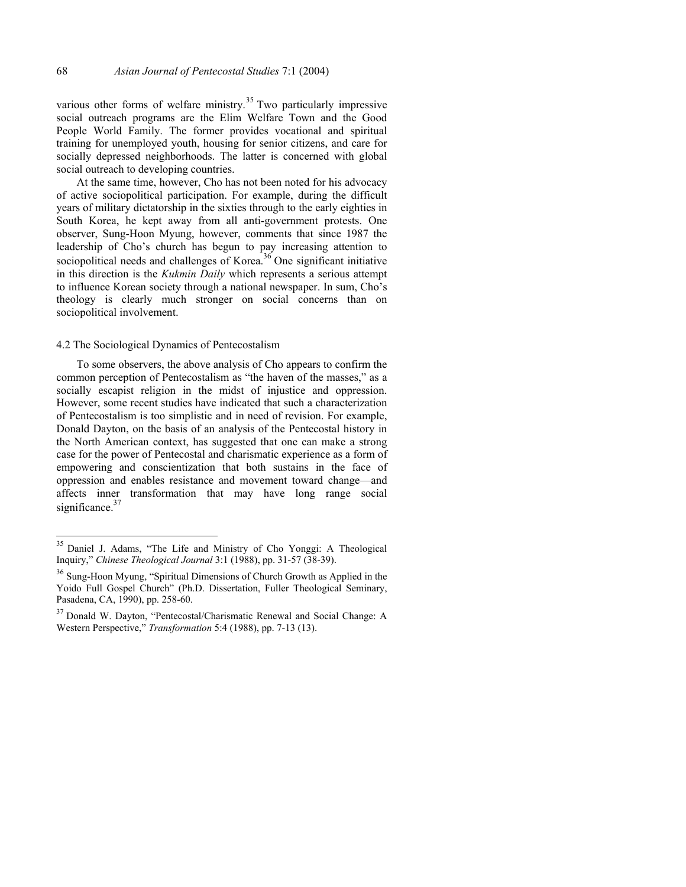various other forms of welfare ministry.<sup>35</sup> Two particularly impressive social outreach programs are the Elim Welfare Town and the Good People World Family. The former provides vocational and spiritual training for unemployed youth, housing for senior citizens, and care for socially depressed neighborhoods. The latter is concerned with global social outreach to developing countries.

At the same time, however, Cho has not been noted for his advocacy of active sociopolitical participation. For example, during the difficult years of military dictatorship in the sixties through to the early eighties in South Korea, he kept away from all anti-government protests. One observer, Sung-Hoon Myung, however, comments that since 1987 the leadership of Cho's church has begun to pay increasing attention to sociopolitical needs and challenges of Korea.<sup>36</sup> One significant initiative in this direction is the *Kukmin Daily* which represents a serious attempt to influence Korean society through a national newspaper. In sum, Cho's theology is clearly much stronger on social concerns than on sociopolitical involvement.

#### 4.2 The Sociological Dynamics of Pentecostalism

l

To some observers, the above analysis of Cho appears to confirm the common perception of Pentecostalism as "the haven of the masses," as a socially escapist religion in the midst of injustice and oppression. However, some recent studies have indicated that such a characterization of Pentecostalism is too simplistic and in need of revision. For example, Donald Dayton, on the basis of an analysis of the Pentecostal history in the North American context, has suggested that one can make a strong case for the power of Pentecostal and charismatic experience as a form of empowering and conscientization that both sustains in the face of oppression and enables resistance and movement toward change—and affects inner transformation that may have long range social significance. $3$ 

<span id="page-11-0"></span><sup>35</sup> Daniel J. Adams, "The Life and Ministry of Cho Yonggi: A Theological Inquiry," *Chinese Theological Journal* 3:1 (1988), pp. 31-57 (38-39).

<span id="page-11-1"></span><sup>&</sup>lt;sup>36</sup> Sung-Hoon Myung, "Spiritual Dimensions of Church Growth as Applied in the Yoido Full Gospel Church" (Ph.D. Dissertation, Fuller Theological Seminary, Pasadena, CA, 1990), pp. 258-60.

<span id="page-11-2"></span><sup>37</sup> Donald W. Dayton, "Pentecostal/Charismatic Renewal and Social Change: A Western Perspective," *Transformation* 5:4 (1988), pp. 7-13 (13).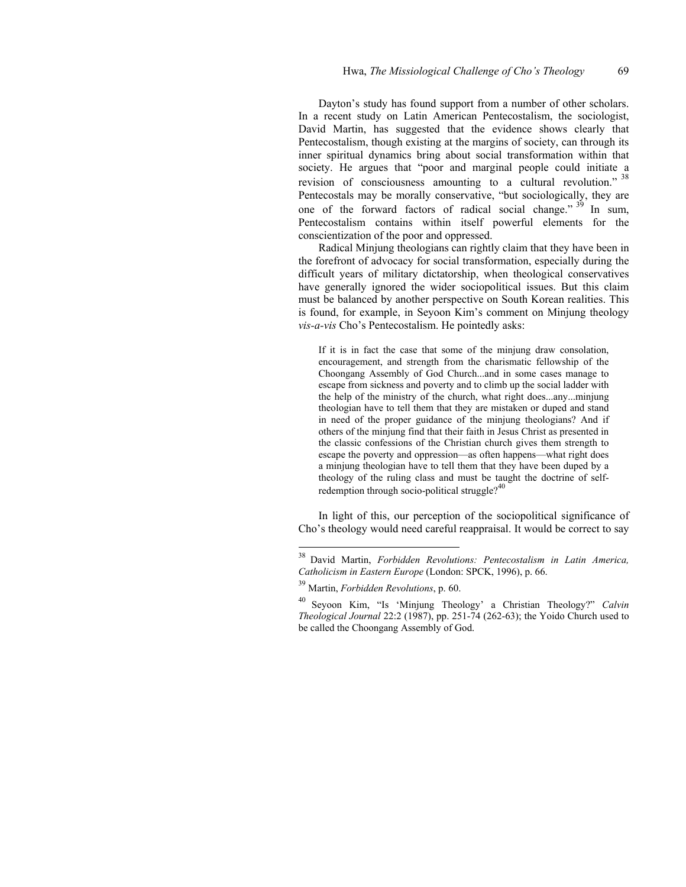Dayton's study has found support from a number of other scholars. In a recent study on Latin American Pentecostalism, the sociologist, David Martin, has suggested that the evidence shows clearly that Pentecostalism, though existing at the margins of society, can through its inner spiritual dynamics bring about social transformation within that society. He argues that "poor and marginal people could initiate a revision of consciousness amounting to a cultural revolution." <sup>[38](#page-12-0)</sup> Pentecostals may be morally conservative, "but sociologically, they are one of the forward factors of radical social change."  $39$  In sum, Pentecostalism contains within itself powerful elements for the conscientization of the poor and oppressed.

Radical Minjung theologians can rightly claim that they have been in the forefront of advocacy for social transformation, especially during the difficult years of military dictatorship, when theological conservatives have generally ignored the wider sociopolitical issues. But this claim must be balanced by another perspective on South Korean realities. This is found, for example, in Seyoon Kim's comment on Minjung theology *vis-a-vis* Cho's Pentecostalism. He pointedly asks:

If it is in fact the case that some of the minjung draw consolation, encouragement, and strength from the charismatic fellowship of the Choongang Assembly of God Church...and in some cases manage to escape from sickness and poverty and to climb up the social ladder with the help of the ministry of the church, what right does...any...minjung theologian have to tell them that they are mistaken or duped and stand in need of the proper guidance of the minjung theologians? And if others of the minjung find that their faith in Jesus Christ as presented in the classic confessions of the Christian church gives them strength to escape the poverty and oppression—as often happens—what right does a minjung theologian have to tell them that they have been duped by a theology of the ruling class and must be taught the doctrine of selfredemption through socio-political struggle? $40$ 

In light of this, our perception of the sociopolitical significance of Cho's theology would need careful reappraisal. It would be correct to say

<span id="page-12-0"></span><sup>38</sup> David Martin, *Forbidden Revolutions: Pentecostalism in Latin America, Catholicism in Eastern Europe* (London: SPCK, 1996), p. 66.

<span id="page-12-1"></span><sup>39</sup> Martin, *Forbidden Revolutions*, p. 60.

<span id="page-12-2"></span><sup>40</sup> Seyoon Kim, "Is 'Minjung Theology' a Christian Theology?" *Calvin Theological Journal* 22:2 (1987), pp. 251-74 (262-63); the Yoido Church used to be called the Choongang Assembly of God.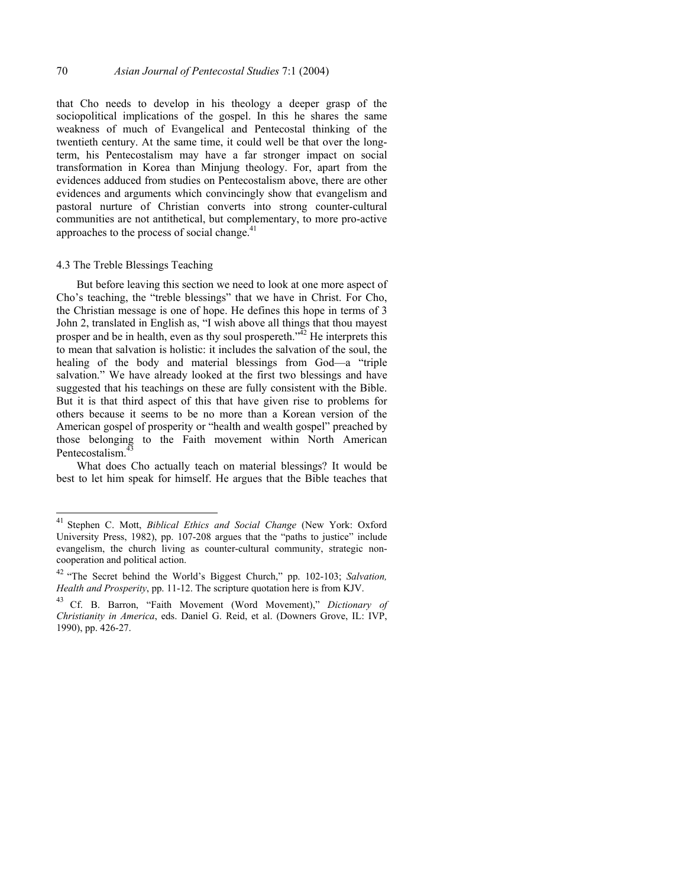that Cho needs to develop in his theology a deeper grasp of the sociopolitical implications of the gospel. In this he shares the same weakness of much of Evangelical and Pentecostal thinking of the twentieth century. At the same time, it could well be that over the longterm, his Pentecostalism may have a far stronger impact on social transformation in Korea than Minjung theology. For, apart from the evidences adduced from studies on Pentecostalism above, there are other evidences and arguments which convincingly show that evangelism and pastoral nurture of Christian converts into strong counter-cultural communities are not antithetical, but complementary, to more pro-active approaches to the process of social change. $41$ 

## 4.3 The Treble Blessings Teaching

l

But before leaving this section we need to look at one more aspect of Cho's teaching, the "treble blessings" that we have in Christ. For Cho, the Christian message is one of hope. He defines this hope in terms of 3 John 2, translated in English as, "I wish above all things that thou mayest prosper and be in health, even as thy soul prospereth. $\frac{3\sqrt{2}}{2}$  He interprets this to mean that salvation is holistic: it includes the salvation of the soul, the healing of the body and material blessings from God—a "triple salvation." We have already looked at the first two blessings and have suggested that his teachings on these are fully consistent with the Bible. But it is that third aspect of this that have given rise to problems for others because it seems to be no more than a Korean version of the American gospel of prosperity or "health and wealth gospel" preached by those belonging to the Faith movement within North American Pentecostalism<sup>4</sup>

What does Cho actually teach on material blessings? It would be best to let him speak for himself. He argues that the Bible teaches that

<span id="page-13-0"></span><sup>41</sup> Stephen C. Mott, *Biblical Ethics and Social Change* (New York: Oxford University Press, 1982), pp. 107-208 argues that the "paths to justice" include evangelism, the church living as counter-cultural community, strategic noncooperation and political action.

<span id="page-13-1"></span><sup>42 &</sup>quot;The Secret behind the World's Biggest Church," pp. 102-103; *Salvation, Health and Prosperity*, pp. 11-12. The scripture quotation here is from KJV.

<span id="page-13-2"></span><sup>43</sup> Cf. B. Barron, "Faith Movement (Word Movement)," *Dictionary of Christianity in America*, eds. Daniel G. Reid, et al. (Downers Grove, IL: IVP, 1990), pp. 426-27.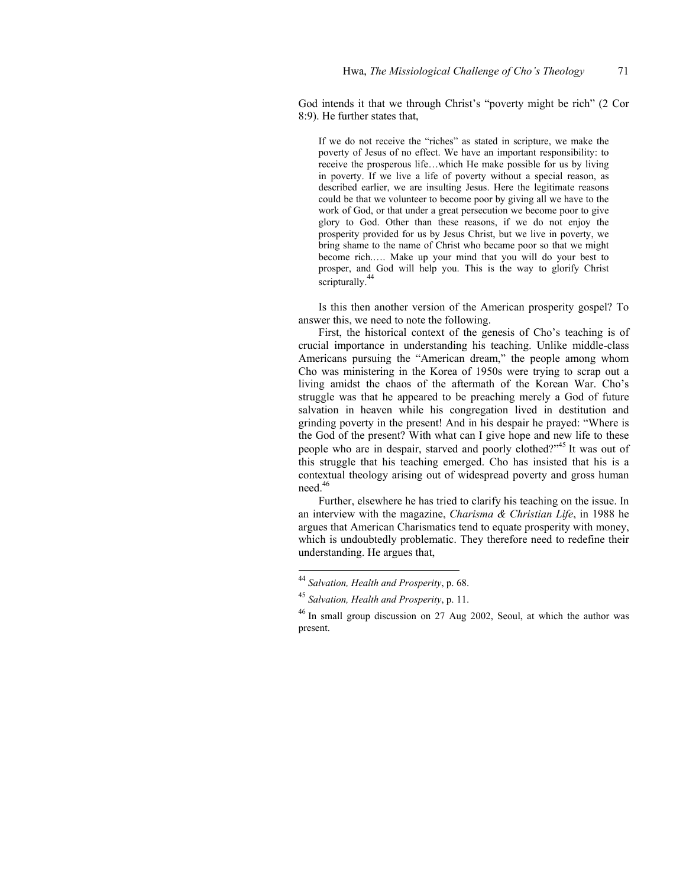God intends it that we through Christ's "poverty might be rich" (2 Cor 8:9). He further states that,

If we do not receive the "riches" as stated in scripture, we make the poverty of Jesus of no effect. We have an important responsibility: to receive the prosperous life…which He make possible for us by living in poverty. If we live a life of poverty without a special reason, as described earlier, we are insulting Jesus. Here the legitimate reasons could be that we volunteer to become poor by giving all we have to the work of God, or that under a great persecution we become poor to give glory to God. Other than these reasons, if we do not enjoy the prosperity provided for us by Jesus Christ, but we live in poverty, we bring shame to the name of Christ who became poor so that we might become rich.…. Make up your mind that you will do your best to prosper, and God will help you. This is the way to glorify Christ scripturally.<sup>[44](#page-14-0)</sup>

Is this then another version of the American prosperity gospel? To answer this, we need to note the following.

First, the historical context of the genesis of Cho's teaching is of crucial importance in understanding his teaching. Unlike middle-class Americans pursuing the "American dream," the people among whom Cho was ministering in the Korea of 1950s were trying to scrap out a living amidst the chaos of the aftermath of the Korean War. Cho's struggle was that he appeared to be preaching merely a God of future salvation in heaven while his congregation lived in destitution and grinding poverty in the present! And in his despair he prayed: "Where is the God of the present? With what can I give hope and new life to these people who are in despair, starved and poorly clothed?"[45 I](#page-14-1)t was out of this struggle that his teaching emerged. Cho has insisted that his is a contextual theology arising out of widespread poverty and gross human need.<sup>[46](#page-14-2)</sup>

Further, elsewhere he has tried to clarify his teaching on the issue. In an interview with the magazine, *Charisma & Christian Life*, in 1988 he argues that American Charismatics tend to equate prosperity with money, which is undoubtedly problematic. They therefore need to redefine their understanding. He argues that,

<span id="page-14-0"></span><sup>44</sup> *Salvation, Health and Prosperity*, p. 68.

<span id="page-14-1"></span><sup>45</sup> *Salvation, Health and Prosperity*, p. 11.

<span id="page-14-2"></span><sup>&</sup>lt;sup>46</sup> In small group discussion on 27 Aug 2002, Seoul, at which the author was present.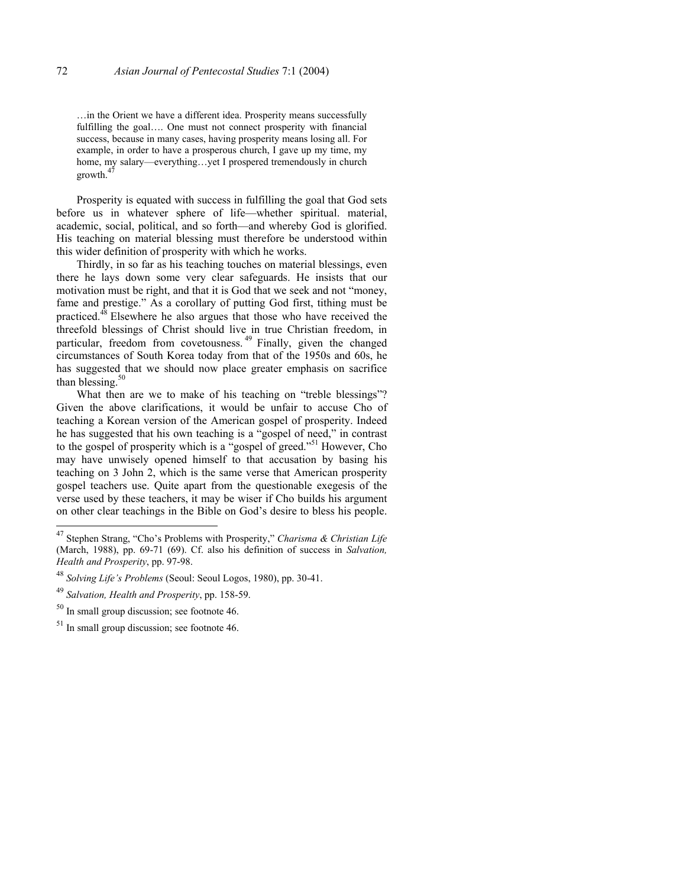…in the Orient we have a different idea. Prosperity means successfully fulfilling the goal…. One must not connect prosperity with financial success, because in many cases, having prosperity means losing all. For example, in order to have a prosperous church, I gave up my time, my home, my salary—everything...yet I prospered tremendously in church  $\mathsf{growth.}^4$ 

Prosperity is equated with success in fulfilling the goal that God sets before us in whatever sphere of life—whether spiritual. material, academic, social, political, and so forth—and whereby God is glorified. His teaching on material blessing must therefore be understood within this wider definition of prosperity with which he works.

Thirdly, in so far as his teaching touches on material blessings, even there he lays down some very clear safeguards. He insists that our motivation must be right, and that it is God that we seek and not "money, fame and prestige." As a corollary of putting God first, tithing must be practiced[.48 E](#page-15-1)lsewhere he also argues that those who have received the threefold blessings of Christ should live in true Christian freedom, in particular, freedom from covetousness.<sup>49</sup> Finally, given the changed circumstances of South Korea today from that of the 1950s and 60s, he has suggested that we should now place greater emphasis on sacrifice than blessing. $50$ 

What then are we to make of his teaching on "treble blessings"? Given the above clarifications, it would be unfair to accuse Cho of teaching a Korean version of the American gospel of prosperity. Indeed he has suggested that his own teaching is a "gospel of need," in contrast to the gospel of prosperity which is a "gospel of greed."<sup>51</sup> However, Cho may have unwisely opened himself to that accusation by basing his teaching on 3 John 2, which is the same verse that American prosperity gospel teachers use. Quite apart from the questionable exegesis of the verse used by these teachers, it may be wiser if Cho builds his argument on other clear teachings in the Bible on God's desire to bless his people.

<span id="page-15-0"></span><sup>47</sup> 47 Stephen Strang, "Cho's Problems with Prosperity," *Charisma & Christian Life* (March, 1988), pp. 69-71 (69). Cf. also his definition of success in *Salvation, Health and Prosperity*, pp. 97-98.

<span id="page-15-1"></span><sup>48</sup> *Solving Life's Problems* (Seoul: Seoul Logos, 1980), pp. 30-41.

<span id="page-15-2"></span><sup>49</sup> *Salvation, Health and Prosperity*, pp. 158-59.

<span id="page-15-3"></span> $50$  In small group discussion; see footnote 46.

<span id="page-15-4"></span><sup>&</sup>lt;sup>51</sup> In small group discussion; see footnote 46.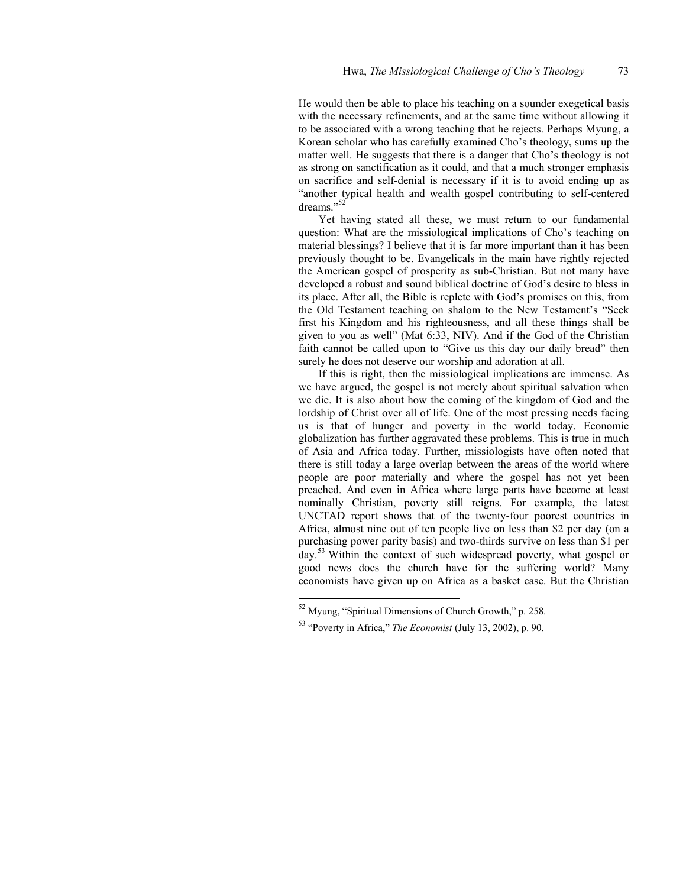He would then be able to place his teaching on a sounder exegetical basis with the necessary refinements, and at the same time without allowing it to be associated with a wrong teaching that he rejects. Perhaps Myung, a Korean scholar who has carefully examined Cho's theology, sums up the matter well. He suggests that there is a danger that Cho's theology is not as strong on sanctification as it could, and that a much stronger emphasis on sacrifice and self-denial is necessary if it is to avoid ending up as "another typical health and wealth gospel contributing to self-centered dreams."<sup>52</sup>

Yet having stated all these, we must return to our fundamental question: What are the missiological implications of Cho's teaching on material blessings? I believe that it is far more important than it has been previously thought to be. Evangelicals in the main have rightly rejected the American gospel of prosperity as sub-Christian. But not many have developed a robust and sound biblical doctrine of God's desire to bless in its place. After all, the Bible is replete with God's promises on this, from the Old Testament teaching on shalom to the New Testament's "Seek first his Kingdom and his righteousness, and all these things shall be given to you as well" (Mat 6:33, NIV). And if the God of the Christian faith cannot be called upon to "Give us this day our daily bread" then surely he does not deserve our worship and adoration at all.

If this is right, then the missiological implications are immense. As we have argued, the gospel is not merely about spiritual salvation when we die. It is also about how the coming of the kingdom of God and the lordship of Christ over all of life. One of the most pressing needs facing us is that of hunger and poverty in the world today. Economic globalization has further aggravated these problems. This is true in much of Asia and Africa today. Further, missiologists have often noted that there is still today a large overlap between the areas of the world where people are poor materially and where the gospel has not yet been preached. And even in Africa where large parts have become at least nominally Christian, poverty still reigns. For example, the latest UNCTAD report shows that of the twenty-four poorest countries in Africa, almost nine out of ten people live on less than \$2 per day (on a purchasing power parity basis) and two-thirds survive on less than \$1 per day.[53 W](#page-16-1)ithin the context of such widespread poverty, what gospel or good news does the church have for the suffering world? Many economists have given up on Africa as a basket case. But the Christian

<span id="page-16-0"></span> $52$  Myung, "Spiritual Dimensions of Church Growth," p. 258.

<span id="page-16-1"></span><sup>53 &</sup>quot;Poverty in Africa," *The Economist* (July 13, 2002), p. 90.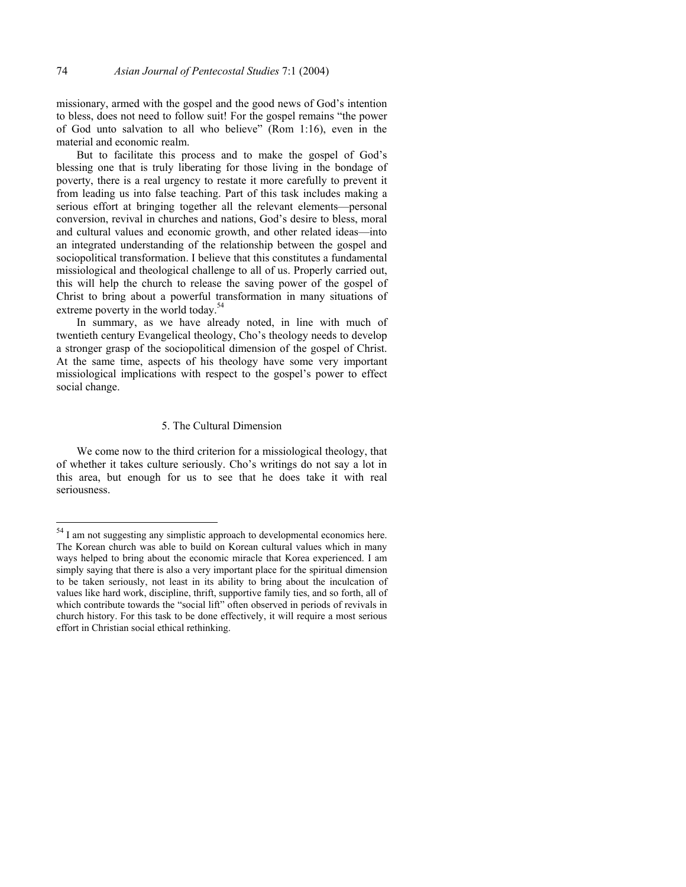missionary, armed with the gospel and the good news of God's intention to bless, does not need to follow suit! For the gospel remains "the power of God unto salvation to all who believe" (Rom 1:16), even in the material and economic realm.

But to facilitate this process and to make the gospel of God's blessing one that is truly liberating for those living in the bondage of poverty, there is a real urgency to restate it more carefully to prevent it from leading us into false teaching. Part of this task includes making a serious effort at bringing together all the relevant elements—personal conversion, revival in churches and nations, God's desire to bless, moral and cultural values and economic growth, and other related ideas—into an integrated understanding of the relationship between the gospel and sociopolitical transformation. I believe that this constitutes a fundamental missiological and theological challenge to all of us. Properly carried out, this will help the church to release the saving power of the gospel of Christ to bring about a powerful transformation in many situations of extreme poverty in the world today.<sup>[54](#page-17-0)</sup>

In summary, as we have already noted, in line with much of twentieth century Evangelical theology, Cho's theology needs to develop a stronger grasp of the sociopolitical dimension of the gospel of Christ. At the same time, aspects of his theology have some very important missiological implications with respect to the gospel's power to effect social change.

### 5. The Cultural Dimension

We come now to the third criterion for a missiological theology, that of whether it takes culture seriously. Cho's writings do not say a lot in this area, but enough for us to see that he does take it with real seriousness.

<span id="page-17-0"></span><sup>&</sup>lt;sup>54</sup> I am not suggesting any simplistic approach to developmental economics here. The Korean church was able to build on Korean cultural values which in many ways helped to bring about the economic miracle that Korea experienced. I am simply saying that there is also a very important place for the spiritual dimension to be taken seriously, not least in its ability to bring about the inculcation of values like hard work, discipline, thrift, supportive family ties, and so forth, all of which contribute towards the "social lift" often observed in periods of revivals in church history. For this task to be done effectively, it will require a most serious effort in Christian social ethical rethinking.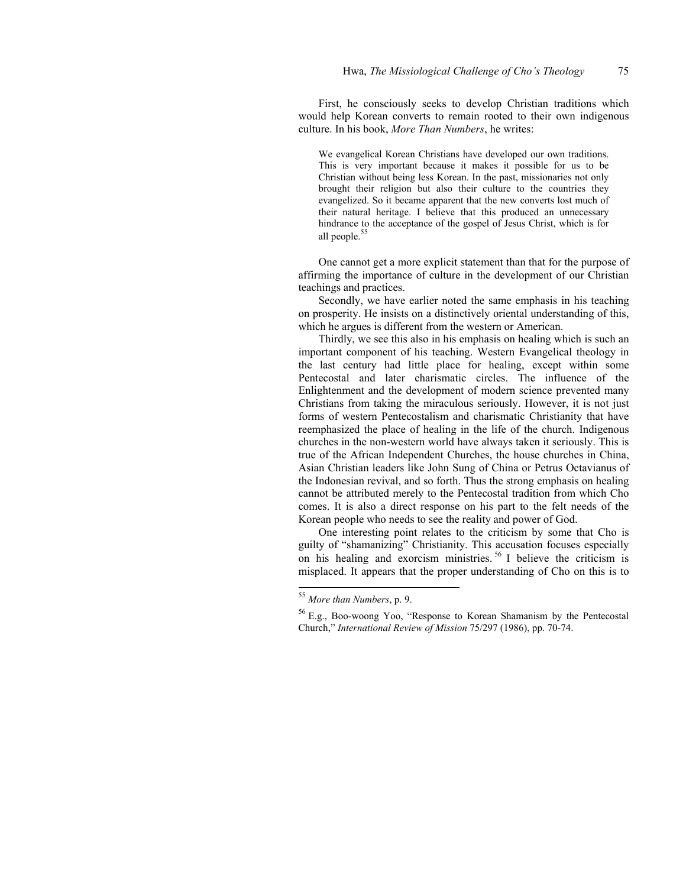First, he consciously seeks to develop Christian traditions which would help Korean converts to remain rooted to their own indigenous culture. In his book, *More Than Numbers*, he writes:

We evangelical Korean Christians have developed our own traditions. This is very important because it makes it possible for us to be Christian without being less Korean. In the past, missionaries not only brought their religion but also their culture to the countries they evangelized. So it became apparent that the new converts lost much of their natural heritage. I believe that this produced an unnecessary hindrance to the acceptance of the gospel of Jesus Christ, which is for all people.<sup>[55](#page-18-0)</sup>

One cannot get a more explicit statement than that for the purpose of affirming the importance of culture in the development of our Christian teachings and practices.

Secondly, we have earlier noted the same emphasis in his teaching on prosperity. He insists on a distinctively oriental understanding of this, which he argues is different from the western or American.

Thirdly, we see this also in his emphasis on healing which is such an important component of his teaching. Western Evangelical theology in the last century had little place for healing, except within some Pentecostal and later charismatic circles. The influence of the Enlightenment and the development of modern science prevented many Christians from taking the miraculous seriously. However, it is not just forms of western Pentecostalism and charismatic Christianity that have reemphasized the place of healing in the life of the church. Indigenous churches in the non-western world have always taken it seriously. This is true of the African Independent Churches, the house churches in China, Asian Christian leaders like John Sung of China or Petrus Octavianus of the Indonesian revival, and so forth. Thus the strong emphasis on healing cannot be attributed merely to the Pentecostal tradition from which Cho comes. It is also a direct response on his part to the felt needs of the Korean people who needs to see the reality and power of God.

One interesting point relates to the criticism by some that Cho is guilty of "shamanizing" Christianity. This accusation focuses especially on his healing and exorcism ministries.<sup>56</sup> I believe the criticism is misplaced. It appears that the proper understanding of Cho on this is to

<span id="page-18-0"></span><sup>55</sup> *More than Numbers*, p. 9.

<span id="page-18-1"></span><sup>56</sup> E.g., Boo-woong Yoo, "Response to Korean Shamanism by the Pentecostal Church," *International Review of Mission* 75/297 (1986), pp. 70-74.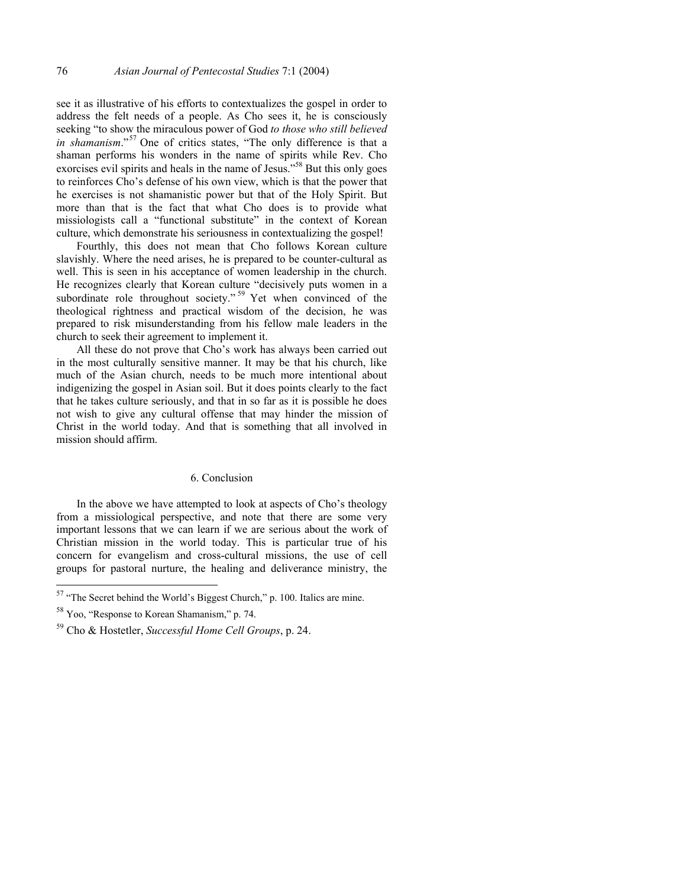see it as illustrative of his efforts to contextualizes the gospel in order to address the felt needs of a people. As Cho sees it, he is consciously seeking "to show the miraculous power of God *to those who still believed in shamanism*."[57 O](#page-19-0)ne of critics states, "The only difference is that a shaman performs his wonders in the name of spirits while Rev. Cho exorcises evil spirits and heals in the name of Jesus."<sup>58</sup> But this only goes to reinforces Cho's defense of his own view, which is that the power that he exercises is not shamanistic power but that of the Holy Spirit. But more than that is the fact that what Cho does is to provide what missiologists call a "functional substitute" in the context of Korean culture, which demonstrate his seriousness in contextualizing the gospel!

Fourthly, this does not mean that Cho follows Korean culture slavishly. Where the need arises, he is prepared to be counter-cultural as well. This is seen in his acceptance of women leadership in the church. He recognizes clearly that Korean culture "decisively puts women in a subordinate role throughout society."<sup>59</sup> Yet when convinced of the theological rightness and practical wisdom of the decision, he was prepared to risk misunderstanding from his fellow male leaders in the church to seek their agreement to implement it.

All these do not prove that Cho's work has always been carried out in the most culturally sensitive manner. It may be that his church, like much of the Asian church, needs to be much more intentional about indigenizing the gospel in Asian soil. But it does points clearly to the fact that he takes culture seriously, and that in so far as it is possible he does not wish to give any cultural offense that may hinder the mission of Christ in the world today. And that is something that all involved in mission should affirm.

#### 6. Conclusion

In the above we have attempted to look at aspects of Cho's theology from a missiological perspective, and note that there are some very important lessons that we can learn if we are serious about the work of Christian mission in the world today. This is particular true of his concern for evangelism and cross-cultural missions, the use of cell groups for pastoral nurture, the healing and deliverance ministry, the

<span id="page-19-0"></span> $57$  "The Secret behind the World's Biggest Church," p. 100. Italics are mine.

<span id="page-19-1"></span><sup>58</sup> Yoo, "Response to Korean Shamanism," p. 74.

<span id="page-19-2"></span><sup>59</sup> Cho & Hostetler, *Successful Home Cell Groups*, p. 24.